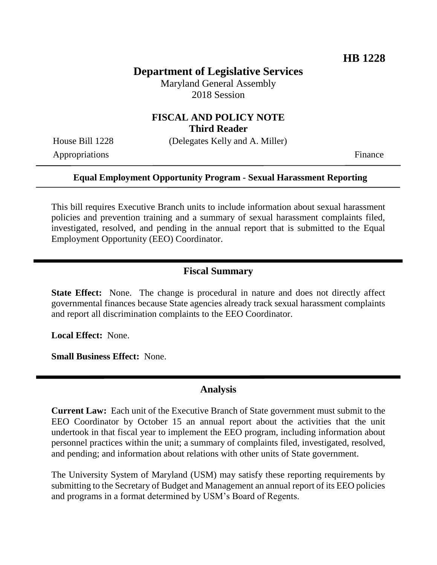# **Department of Legislative Services**

Maryland General Assembly 2018 Session

#### **FISCAL AND POLICY NOTE Third Reader**

House Bill 1228 (Delegates Kelly and A. Miller)

Appropriations Finance

#### **Equal Employment Opportunity Program - Sexual Harassment Reporting**

This bill requires Executive Branch units to include information about sexual harassment policies and prevention training and a summary of sexual harassment complaints filed, investigated, resolved, and pending in the annual report that is submitted to the Equal Employment Opportunity (EEO) Coordinator.

#### **Fiscal Summary**

**State Effect:** None. The change is procedural in nature and does not directly affect governmental finances because State agencies already track sexual harassment complaints and report all discrimination complaints to the EEO Coordinator.

**Local Effect:** None.

**Small Business Effect:** None.

### **Analysis**

**Current Law:** Each unit of the Executive Branch of State government must submit to the EEO Coordinator by October 15 an annual report about the activities that the unit undertook in that fiscal year to implement the EEO program, including information about personnel practices within the unit; a summary of complaints filed, investigated, resolved, and pending; and information about relations with other units of State government.

The University System of Maryland (USM) may satisfy these reporting requirements by submitting to the Secretary of Budget and Management an annual report of its EEO policies and programs in a format determined by USM's Board of Regents.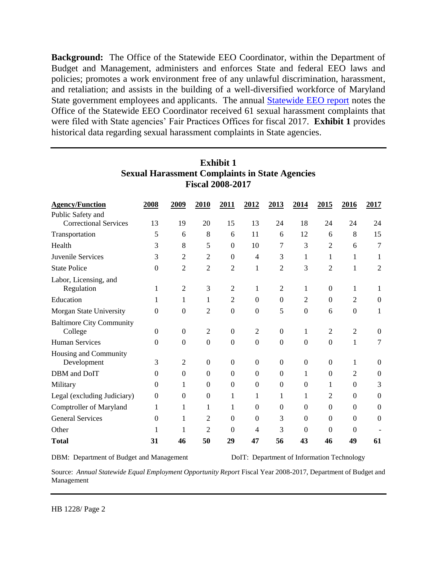**Background:** The Office of the Statewide EEO Coordinator, within the Department of Budget and Management, administers and enforces State and federal EEO laws and policies; promotes a work environment free of any unlawful discrimination, harassment, and retaliation; and assists in the building of a well-diversified workforce of Maryland State government employees and applicants. The annual [Statewide EEO report](http://dbm.maryland.gov/eeo/Documents/Publications/AnnualEEOReportFY2017.pdf) notes the Office of the Statewide EEO Coordinator received 61 sexual harassment complaints that were filed with State agencies' Fair Practices Offices for fiscal 2017. **Exhibit 1** provides historical data regarding sexual harassment complaints in State agencies.

| <b>Agency/Function</b><br>Public Safety and | 2008           | 2009             | 2010           | 2011             | 2012             | 2013           | 2014           | 2015             | 2016             | 2017             |
|---------------------------------------------|----------------|------------------|----------------|------------------|------------------|----------------|----------------|------------------|------------------|------------------|
| <b>Correctional Services</b>                | 13             | 19               | 20             | 15               | 13               | 24             | 18             | 24               | 24               | 24               |
| Transportation                              | 5              | 6                | 8              | 6                | 11               | 6              | 12             | 6                | 8                | 15               |
| Health                                      | 3              | 8                | 5              | $\boldsymbol{0}$ | 10               | 7              | 3              | 2                | 6                | 7                |
| Juvenile Services                           | 3              | $\overline{2}$   | 2              | $\mathbf{0}$     | $\overline{4}$   | 3              | 1              | 1                | 1                | 1                |
| <b>State Police</b>                         | $\theta$       | 2                | $\overline{2}$ | 2                | 1                | $\overline{2}$ | 3              | $\overline{2}$   | 1                | $\overline{2}$   |
| Labor, Licensing, and<br>Regulation         | 1              | $\overline{2}$   | 3              | 2                | 1                | 2              | 1              | $\Omega$         | 1                |                  |
| Education                                   | 1              | 1                | 1              | 2                | $\boldsymbol{0}$ | $\Omega$       | 2              | $\mathbf{0}$     | 2                | $\Omega$         |
| Morgan State University                     | $\overline{0}$ | $\boldsymbol{0}$ | $\overline{c}$ | $\boldsymbol{0}$ | $\boldsymbol{0}$ | 5              | $\mathbf{0}$   | 6                | $\boldsymbol{0}$ | 1                |
| <b>Baltimore City Community</b><br>College  | $\Omega$       | $\theta$         | $\overline{2}$ | $\theta$         | $\overline{2}$   | $\Omega$       | 1              | 2                | $\overline{2}$   | $\Omega$         |
| <b>Human Services</b>                       | $\Omega$       | $\Omega$         | $\overline{0}$ | $\Omega$         | $\overline{0}$   | $\Omega$       | $\mathbf{0}$   | $\Omega$         | 1                | 7                |
| Housing and Community<br>Development        | 3              | 2                | $\mathbf{0}$   | $\boldsymbol{0}$ | $\boldsymbol{0}$ | $\Omega$       | $\overline{0}$ | $\boldsymbol{0}$ | 1                | $\boldsymbol{0}$ |
| DBM and DoIT                                | $\Omega$       | $\boldsymbol{0}$ | $\Omega$       | $\theta$         | $\theta$         | $\Omega$       | 1              | $\boldsymbol{0}$ | $\overline{2}$   | $\theta$         |
| Military                                    | $\theta$       | 1                | $\Omega$       | $\boldsymbol{0}$ | $\Omega$         | $\Omega$       | $\theta$       | 1                | $\boldsymbol{0}$ | 3                |
| Legal (excluding Judiciary)                 | $\overline{0}$ | $\Omega$         | $\Omega$       | 1                | 1                | 1              | 1              | 2                | $\boldsymbol{0}$ | $\boldsymbol{0}$ |
| Comptroller of Maryland                     | 1              | 1                | 1              | 1                | $\theta$         | $\Omega$       | $\Omega$       | $\Omega$         | $\boldsymbol{0}$ | $\boldsymbol{0}$ |
| <b>General Services</b>                     | $\Omega$       | 1                | 2              | $\theta$         | $\theta$         | 3              | $\theta$       | $\boldsymbol{0}$ | $\boldsymbol{0}$ | $\theta$         |
| Other                                       |                |                  | $\overline{c}$ | $\theta$         | 4                | 3              | $\Omega$       | $\Omega$         | $\theta$         |                  |
| <b>Total</b>                                | 31             | 46               | 50             | 29               | 47               | 56             | 43             | 46               | 49               | 61               |

## **Exhibit 1 Sexual Harassment Complaints in State Agencies Fiscal 2008-2017**

DBM: Department of Budget and Management DoIT: Department of Information Technology

Source: *Annual Statewide Equal Employment Opportunity Report Fiscal Year 2008-2017*, Department of Budget and Management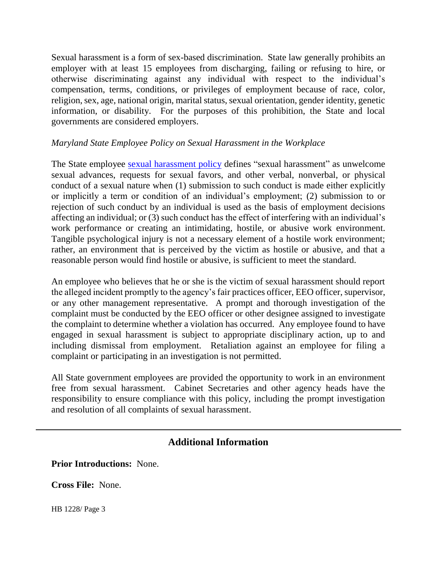Sexual harassment is a form of sex-based discrimination. State law generally prohibits an employer with at least 15 employees from discharging, failing or refusing to hire, or otherwise discriminating against any individual with respect to the individual's compensation, terms, conditions, or privileges of employment because of race, color, religion, sex, age, national origin, marital status, sexual orientation, gender identity, genetic information, or disability. For the purposes of this prohibition, the State and local governments are considered employers.

### *Maryland State Employee Policy on Sexual Harassment in the Workplace*

The State employee [sexual harassment policy](http://dbm.maryland.gov/eeo/Documents/SexHarrassPolicy.pdf) defines "sexual harassment" as unwelcome sexual advances, requests for sexual favors, and other verbal, nonverbal, or physical conduct of a sexual nature when (1) submission to such conduct is made either explicitly or implicitly a term or condition of an individual's employment; (2) submission to or rejection of such conduct by an individual is used as the basis of employment decisions affecting an individual; or (3) such conduct has the effect of interfering with an individual's work performance or creating an intimidating, hostile, or abusive work environment. Tangible psychological injury is not a necessary element of a hostile work environment; rather, an environment that is perceived by the victim as hostile or abusive, and that a reasonable person would find hostile or abusive, is sufficient to meet the standard.

An employee who believes that he or she is the victim of sexual harassment should report the alleged incident promptly to the agency's fair practices officer, EEO officer, supervisor, or any other management representative. A prompt and thorough investigation of the complaint must be conducted by the EEO officer or other designee assigned to investigate the complaint to determine whether a violation has occurred. Any employee found to have engaged in sexual harassment is subject to appropriate disciplinary action, up to and including dismissal from employment. Retaliation against an employee for filing a complaint or participating in an investigation is not permitted.

All State government employees are provided the opportunity to work in an environment free from sexual harassment. Cabinet Secretaries and other agency heads have the responsibility to ensure compliance with this policy, including the prompt investigation and resolution of all complaints of sexual harassment.

## **Additional Information**

**Prior Introductions:** None.

**Cross File:** None.

HB 1228/ Page 3